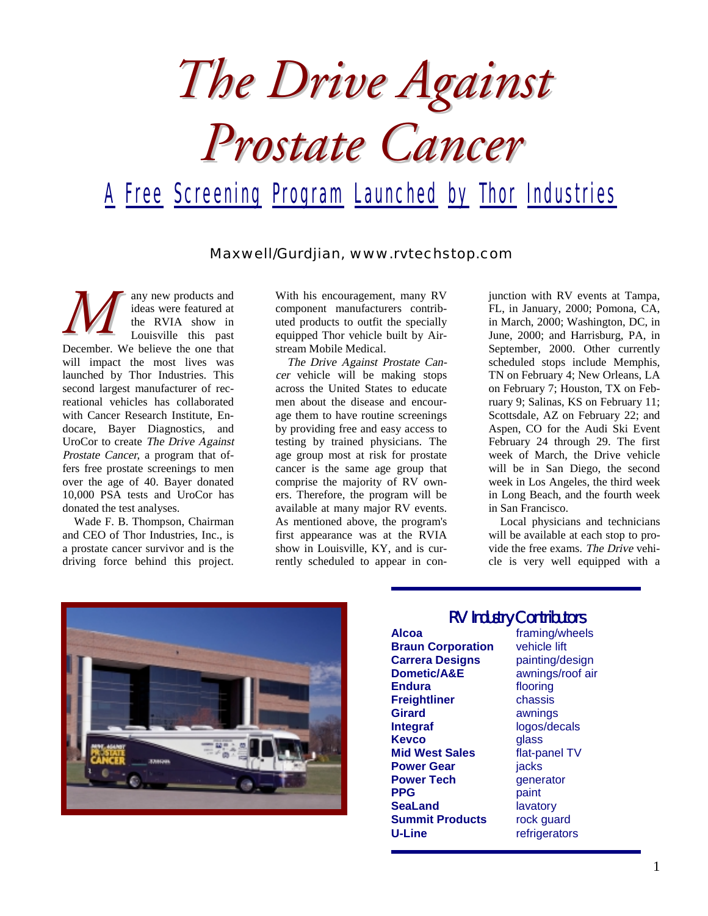*The Drive Against Prostate Cancer*

## A Free Screening Program Launched by Thor Industries

Maxwell/Gurdjian, www.rvtechstop.com

any new products and ideas were featured at the RVIA show in Louisville this past any new products and<br>
ideas were featured at<br>
the RVIA show in<br>
Louisville this past<br>
December. We believe the one that will impact the most lives was launched by Thor Industries. This second largest manufacturer of recreational vehicles has collaborated with Cancer Research Institute, Endocare, Bayer Diagnostics, and UroCor to create The Drive Against Prostate Cancer, a program that offers free prostate screenings to men over the age of 40. Bayer donated 10,000 PSA tests and UroCor has donated the test analyses.

Wade F. B. Thompson, Chairman and CEO of Thor Industries, Inc., is a prostate cancer survivor and is the driving force behind this project.

With his encouragement, many RV component manufacturers contributed products to outfit the specially equipped Thor vehicle built by Airstream Mobile Medical.

The Drive Against Prostate Cancer vehicle will be making stops across the United States to educate men about the disease and encourage them to have routine screenings by providing free and easy access to testing by trained physicians. The age group most at risk for prostate cancer is the same age group that comprise the majority of RV owners. Therefore, the program will be available at many major RV events. As mentioned above, the program's first appearance was at the RVIA show in Louisville, KY, and is currently scheduled to appear in conjunction with RV events at Tampa, FL, in January, 2000; Pomona, CA, in March, 2000; Washington, DC, in June, 2000; and Harrisburg, PA, in September, 2000. Other currently scheduled stops include Memphis, TN on February 4; New Orleans, LA on February 7; Houston, TX on February 9; Salinas, KS on February 11; Scottsdale, AZ on February 22; and Aspen, CO for the Audi Ski Event February 24 through 29. The first week of March, the Drive vehicle will be in San Diego, the second week in Los Angeles, the third week in Long Beach, and the fourth week in San Francisco.

Local physicians and technicians will be available at each stop to provide the free exams. The Drive vehicle is very well equipped with a



## RV Industry Contributors

**Braun Corporation** vehicle lift **Carrera Designs** painting/design **Dometic/A&E** awnings/roof air **Endura** flooring **Freightliner** chassis **Girard** awnings **Integraf**  logos/decals **Kevco** glass **Mid West Sales** flat-panel TV **Power Gear jacks Power Tech generator PPG** paint **SeaLand lavatory Summit Products** rock guard **U-Line** refrigerators

**Alcoa** framing/wheels